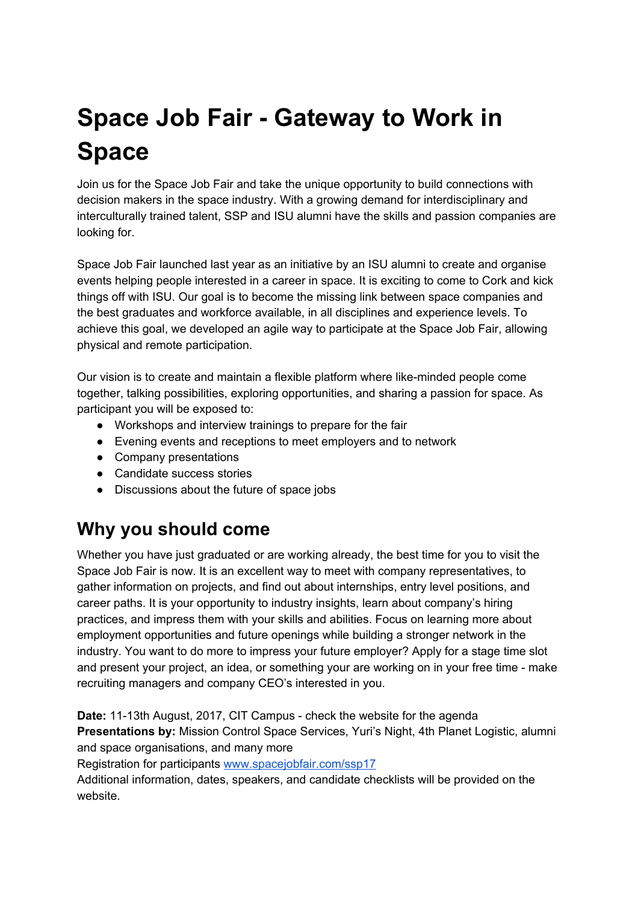## **Space Job Fair - Gateway to Work in Space**

Join us for the Space Job Fair and take the unique opportunity to build connections with decision makers in the space industry. With a growing demand for interdisciplinary and interculturally trained talent, SSP and ISU alumni have the skills and passion companies are looking for.

Space Job Fair launched last year as an initiative by an ISU alumni to create and organise events helping people interested in a career in space. It is exciting to come to Cork and kick things off with ISU. Our goal is to become the missing link between space companies and the best graduates and workforce available, in all disciplines and experience levels. To achieve this goal, we developed an agile way to participate at the Space Job Fair, allowing physical and remote participation.

Our vision is to create and maintain a flexible platform where like-minded people come together, talking possibilities, exploring opportunities, and sharing a passion for space. As participant you will be exposed to:

- Workshops and interview trainings to prepare for the fair
- Evening events and receptions to meet employers and to network
- Company presentations
- Candidate success stories
- Discussions about the future of space jobs

## **Why you should come**

Whether you have just graduated or are working already, the best time for you to visit the Space Job Fair is now. It is an excellent way to meet with company representatives, to gather information on projects, and find out about internships, entry level positions, and career paths. It is your opportunity to industry insights, learn about company's hiring practices, and impress them with your skills and abilities. Focus on learning more about employment opportunities and future openings while building a stronger network in the industry. You want to do more to impress your future employer? Apply for a stage time slot and present your project, an idea, or something your are working on in your free time - make recruiting managers and company CEO's interested in you.

**Date:** 11-13th August, 2017, CIT Campus - check the website for the agenda **Presentations by:** Mission Control Space Services, Yuri's Night, 4th Planet Logistic, alumni and space organisations, and many more

Registration for participants [www.spacejobfair.com/ssp17](https://www.spacejobfair.com/ssp17)

Additional information, dates, speakers, and candidate checklists will be provided on the website.